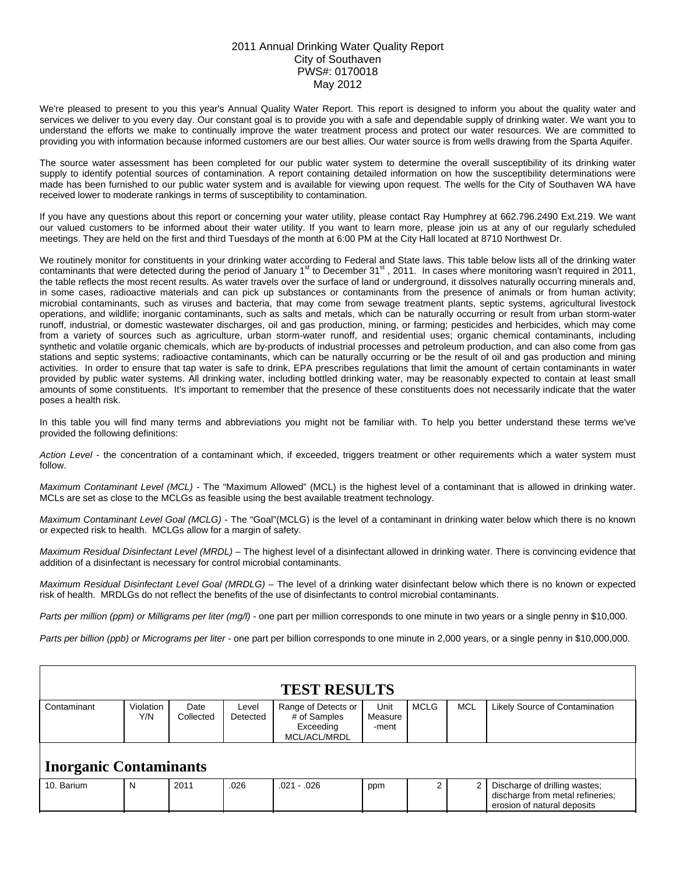## 2011 Annual Drinking Water Quality Report City of Southaven PWS#: 0170018 May 2012

We're pleased to present to you this year's Annual Quality Water Report. This report is designed to inform you about the quality water and services we deliver to you every day. Our constant goal is to provide you with a safe and dependable supply of drinking water. We want you to understand the efforts we make to continually improve the water treatment process and protect our water resources. We are committed to providing you with information because informed customers are our best allies. Our water source is from wells drawing from the Sparta Aquifer.

The source water assessment has been completed for our public water system to determine the overall susceptibility of its drinking water supply to identify potential sources of contamination. A report containing detailed information on how the susceptibility determinations were made has been furnished to our public water system and is available for viewing upon request. The wells for the City of Southaven WA have received lower to moderate rankings in terms of susceptibility to contamination.

If you have any questions about this report or concerning your water utility, please contact Ray Humphrey at 662.796.2490 Ext.219. We want our valued customers to be informed about their water utility. If you want to learn more, please join us at any of our regularly scheduled meetings. They are held on the first and third Tuesdays of the month at 6:00 PM at the City Hall located at 8710 Northwest Dr.

We routinely monitor for constituents in your drinking water according to Federal and State laws. This table below lists all of the drinking water contaminants that were detected during the period of January 1<sup>st</sup> to December 31<sup>st</sup>, 2011. In cases where monitoring wasn't required in 2011, the table reflects the most recent results. As water travels over the surface of land or underground, it dissolves naturally occurring minerals and, in some cases, radioactive materials and can pick up substances or contaminants from the presence of animals or from human activity; microbial contaminants, such as viruses and bacteria, that may come from sewage treatment plants, septic systems, agricultural livestock operations, and wildlife; inorganic contaminants, such as salts and metals, which can be naturally occurring or result from urban storm-water runoff, industrial, or domestic wastewater discharges, oil and gas production, mining, or farming; pesticides and herbicides, which may come from a variety of sources such as agriculture, urban storm-water runoff, and residential uses; organic chemical contaminants, including synthetic and volatile organic chemicals, which are by-products of industrial processes and petroleum production, and can also come from gas stations and septic systems; radioactive contaminants, which can be naturally occurring or be the result of oil and gas production and mining activities. In order to ensure that tap water is safe to drink, EPA prescribes regulations that limit the amount of certain contaminants in water provided by public water systems. All drinking water, including bottled drinking water, may be reasonably expected to contain at least small amounts of some constituents. It's important to remember that the presence of these constituents does not necessarily indicate that the water poses a health risk.

In this table you will find many terms and abbreviations you might not be familiar with. To help you better understand these terms we've provided the following definitions:

*Action Level* - the concentration of a contaminant which, if exceeded, triggers treatment or other requirements which a water system must follow.

*Maximum Contaminant Level (MCL)* - The "Maximum Allowed" (MCL) is the highest level of a contaminant that is allowed in drinking water. MCLs are set as close to the MCLGs as feasible using the best available treatment technology.

*Maximum Contaminant Level Goal (MCLG)* - The "Goal"(MCLG) is the level of a contaminant in drinking water below which there is no known or expected risk to health. MCLGs allow for a margin of safety.

*Maximum Residual Disinfectant Level (MRDL)* – The highest level of a disinfectant allowed in drinking water. There is convincing evidence that addition of a disinfectant is necessary for control microbial contaminants.

*Maximum Residual Disinfectant Level Goal (MRDLG)* – The level of a drinking water disinfectant below which there is no known or expected risk of health. MRDLGs do not reflect the benefits of the use of disinfectants to control microbial contaminants.

*Parts per million (ppm) or Milligrams per liter (mg/l)* - one part per million corresponds to one minute in two years or a single penny in \$10,000.

*Parts per billion (ppb) or Micrograms per liter* - one part per billion corresponds to one minute in 2,000 years, or a single penny in \$10,000,000.

| <b>TEST RESULTS</b>           |                  |                   |                   |                                                                  |                          |             |            |                                                                                                  |  |  |  |  |
|-------------------------------|------------------|-------------------|-------------------|------------------------------------------------------------------|--------------------------|-------------|------------|--------------------------------------------------------------------------------------------------|--|--|--|--|
| Contaminant                   | Violation<br>Y/N | Date<br>Collected | Level<br>Detected | Range of Detects or<br># of Samples<br>Exceeding<br>MCL/ACL/MRDL | Unit<br>Measure<br>-ment | <b>MCLG</b> | <b>MCL</b> | Likely Source of Contamination                                                                   |  |  |  |  |
| <b>Inorganic Contaminants</b> |                  |                   |                   |                                                                  |                          |             |            |                                                                                                  |  |  |  |  |
| 10. Barium                    | N                | 2011              | .026              | $.021 - .026$                                                    | ppm                      |             |            | Discharge of drilling wastes;<br>discharge from metal refineries;<br>erosion of natural deposits |  |  |  |  |